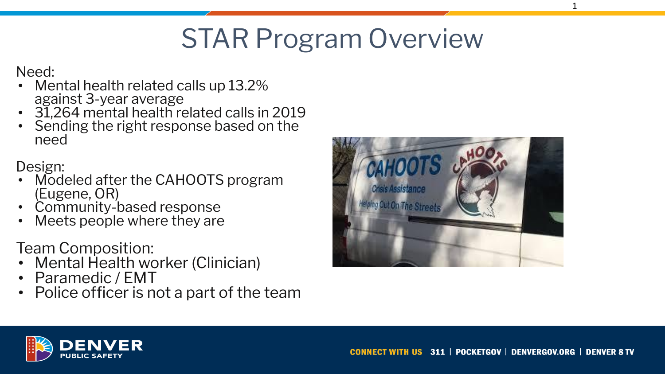# STAR Program Overview

Need:

- Mental health related calls up 13.2% against 3-year average
- 31,264 mental health related calls in 2019
- Sending the right response based on the need

Design:

- Modeled after the CAHOOTS program (Eugene, OR)
- Community-based response
- Meets people where they are

Team Composition:

- Mental Health worker (Clinician)
- Paramedic / EMT
- Police officer is not a part of the team





1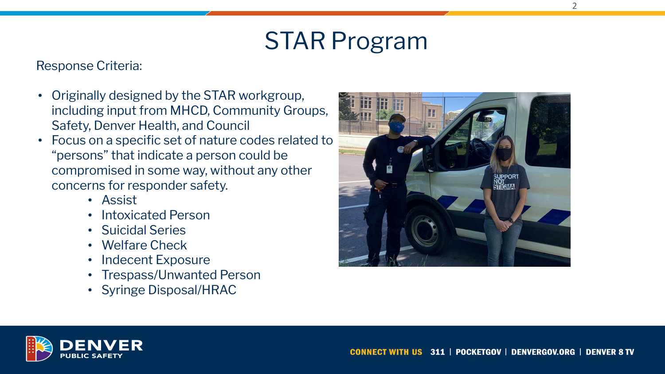#### STAR Program

#### Response Criteria:

- Originally designed by the STAR workgroup, including input from MHCD, Community Groups, Safety, Denver Health, and Council
- Focus on a specific set of nature codes related to "persons" that indicate a person could be compromised in some way, without any other concerns for responder safety.
	- Assist
	- Intoxicated Person
	- Suicidal Series
	- Welfare Check
	- Indecent Exposure
	- Trespass/Unwanted Person
	- Syringe Disposal/HRAC



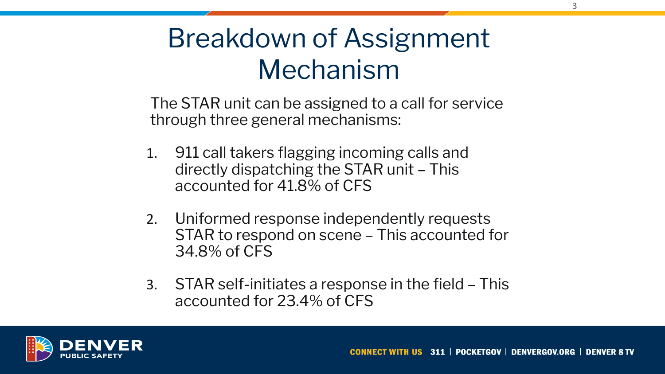## Breakdown of Assignment Mechanism

The STAR unit can be assigned to a call for service through three general mechanisms:

- 1. 911 call takers flagging incoming calls and directly dispatching the STAR unit – This accounted for 41.8% of CFS
- 2. Uniformed response independently requests STAR to respond on scene – This accounted for 34.8% of CFS
- 3. STAR self-initiates a response in the field This accounted for 23.4% of CFS

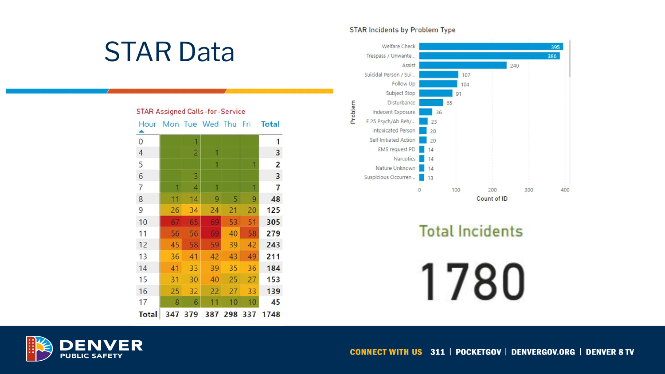## **STAR Data**



#### **STAR Incidents by Problem Type**



**Total Incidents** 

1780

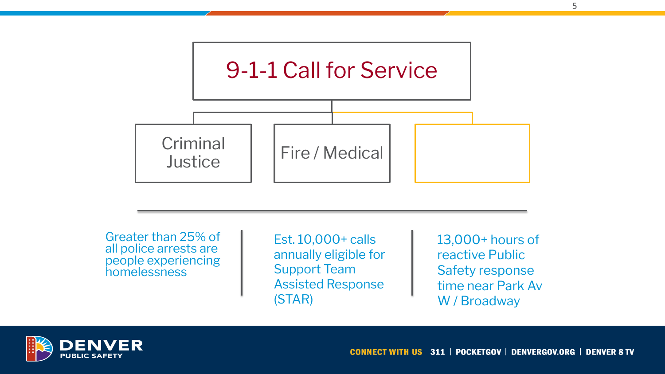

ER <u>PUBLIC SAFETY</u>

5